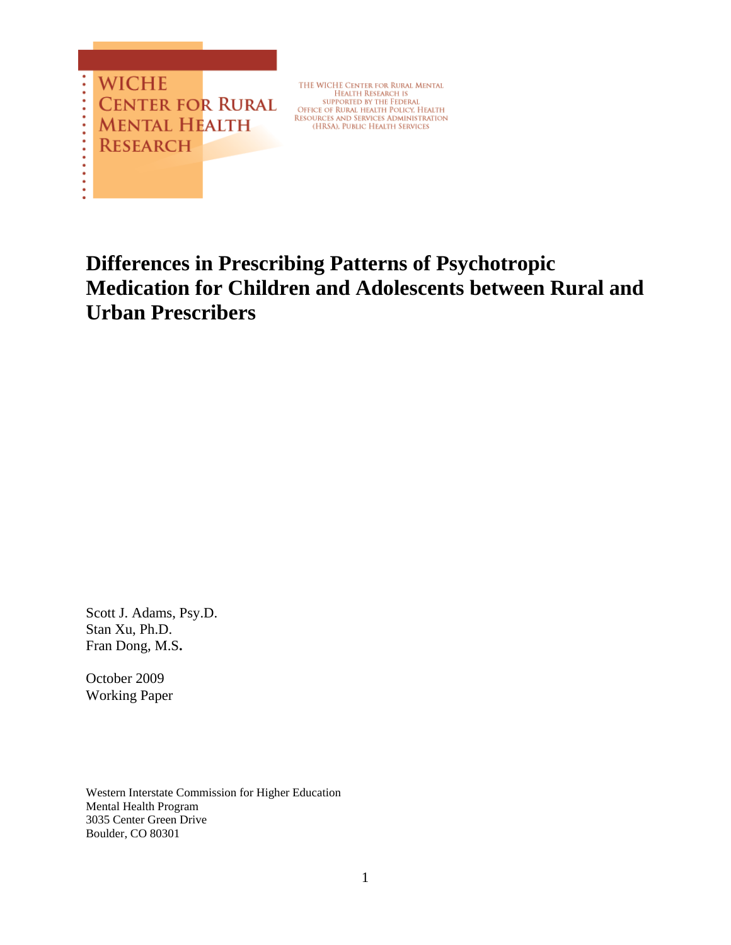

THE WICHE CENTER FOR RURAL MENTAL THE WICHT EXERCITY RESEARCH IS<br>SUPPORTED BY THE FEDERAL<br>OFFICE OF RURAL HEALTH POLICY, HEALTH<br>RESOURCES AND SERVICES ADMINISTRATION (HRSA), PUBLIC HEALTH SERVICES

# **Differences in Prescribing Patterns of Psychotropic Medication for Children and Adolescents between Rural and Urban Prescribers**

Scott J. Adams, Psy.D. Stan Xu, Ph.D. Fran Dong, M.S**.** 

October 2009 Working Paper

Western Interstate Commission for Higher Education Mental Health Program 3035 Center Green Drive Boulder, CO 80301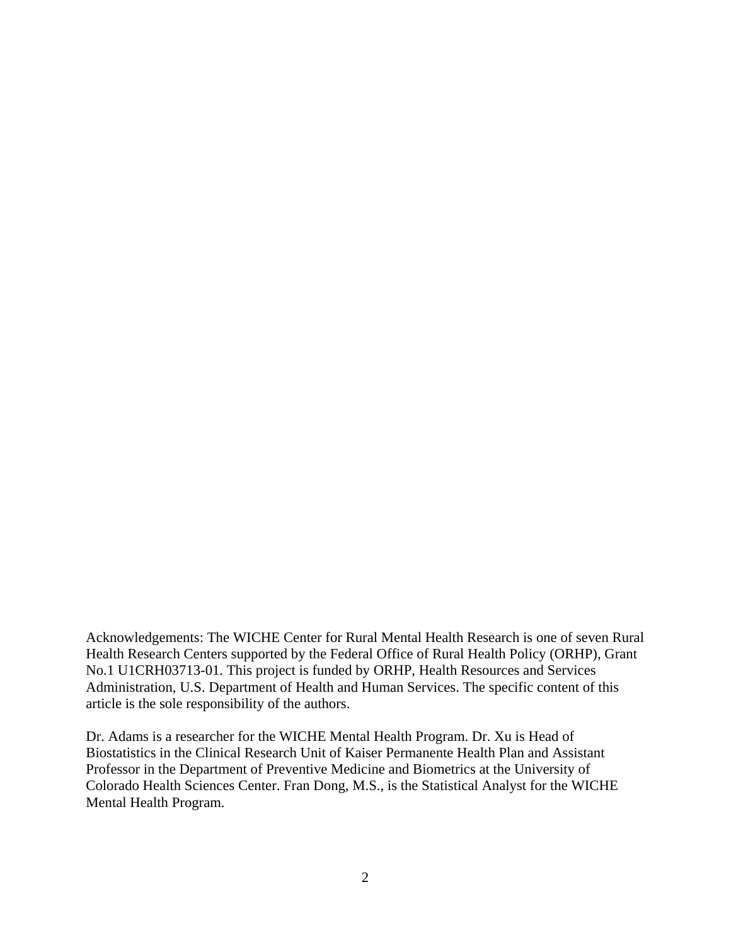Acknowledgements: The WICHE Center for Rural Mental Health Research is one of seven Rural Health Research Centers supported by the Federal Office of Rural Health Policy (ORHP), Grant No.1 U1CRH03713-01. This project is funded by ORHP, Health Resources and Services Administration, U.S. Department of Health and Human Services. The specific content of this article is the sole responsibility of the authors.

Dr. Adams is a researcher for the WICHE Mental Health Program. Dr. Xu is Head of Biostatistics in the Clinical Research Unit of Kaiser Permanente Health Plan and Assistant Professor in the Department of Preventive Medicine and Biometrics at the University of Colorado Health Sciences Center. Fran Dong, M.S., is the Statistical Analyst for the WICHE Mental Health Program.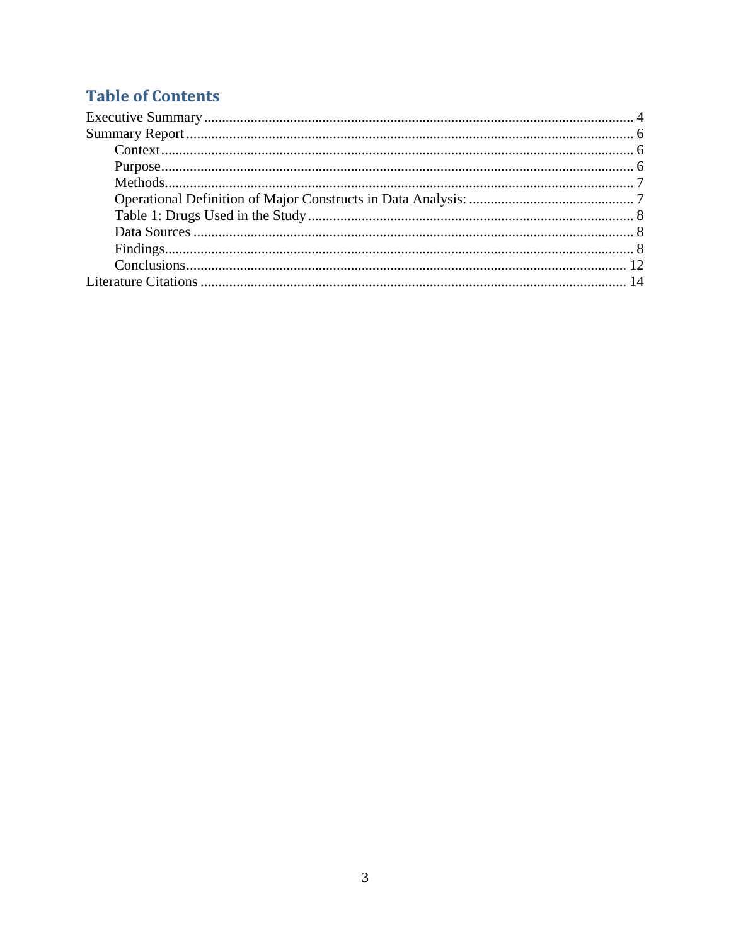## **Table of Contents**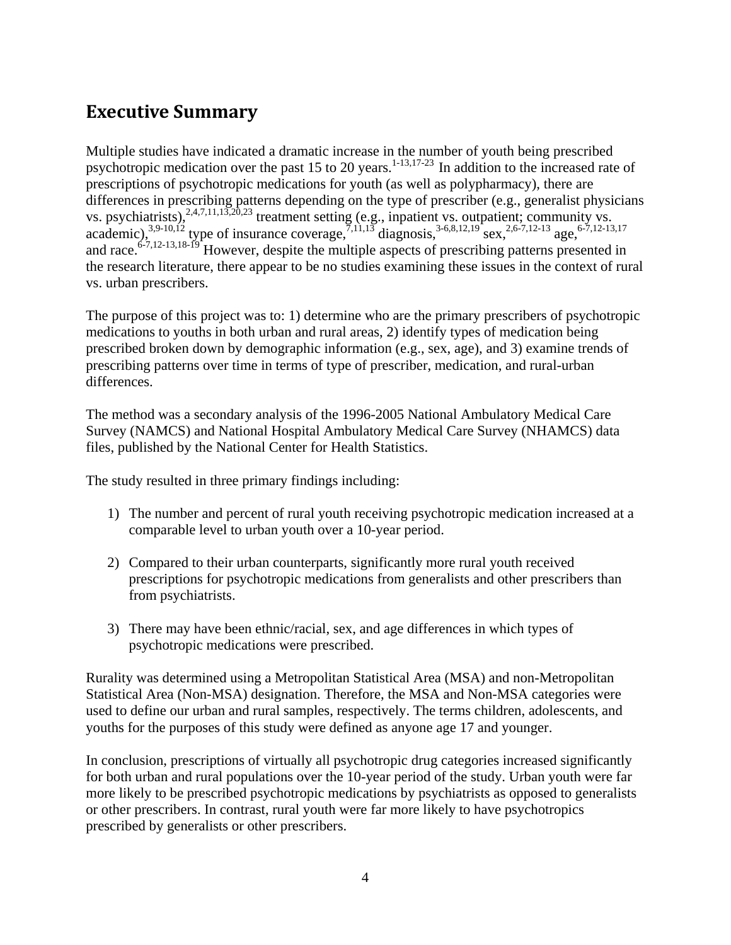## <span id="page-3-0"></span>**Executive Summary**

Multiple studies have indicated a dramatic increase in the number of youth being prescribed psychotropic medication over the past 15 to 20 years.<sup>1-13,17-23</sup> In addition to the increased rate of prescriptions of psychotropic medications for youth (as well as polypharmacy), there are differences in prescribing patterns depending on the type of prescriber (e.g., generalist physicians vs. psychiatrists),  $^{2,4,7,11,13,20,23}$  treatment setting (e.g., inpatient vs. outpatient; community vs. academic),<sup>3,9-10,12</sup> type of insurance coverage,<sup>7,11,13</sup> diagnosis,<sup>3-6,8,12,19</sup> sex,<sup>2,6-7,12-13</sup> age,<sup>6-7,12-13,17</sup> and race.  $6-7,12-13,18-19$  However, despite the multiple aspects of prescribing patterns presented in the research literature, there appear to be no studies examining these issues in the context of rural vs. urban prescribers.

The purpose of this project was to: 1) determine who are the primary prescribers of psychotropic medications to youths in both urban and rural areas, 2) identify types of medication being prescribed broken down by demographic information (e.g., sex, age), and 3) examine trends of prescribing patterns over time in terms of type of prescriber, medication, and rural-urban differences.

The method was a secondary analysis of the 1996-2005 National Ambulatory Medical Care Survey (NAMCS) and National Hospital Ambulatory Medical Care Survey (NHAMCS) data files, published by the National Center for Health Statistics.

The study resulted in three primary findings including:

- 1) The number and percent of rural youth receiving psychotropic medication increased at a comparable level to urban youth over a 10-year period.
- 2) Compared to their urban counterparts, significantly more rural youth received prescriptions for psychotropic medications from generalists and other prescribers than from psychiatrists.
- 3) There may have been ethnic/racial, sex, and age differences in which types of psychotropic medications were prescribed.

Rurality was determined using a Metropolitan Statistical Area (MSA) and non-Metropolitan Statistical Area (Non-MSA) designation. Therefore, the MSA and Non-MSA categories were used to define our urban and rural samples, respectively. The terms children, adolescents, and youths for the purposes of this study were defined as anyone age 17 and younger.

In conclusion, prescriptions of virtually all psychotropic drug categories increased significantly for both urban and rural populations over the 10-year period of the study. Urban youth were far more likely to be prescribed psychotropic medications by psychiatrists as opposed to generalists or other prescribers. In contrast, rural youth were far more likely to have psychotropics prescribed by generalists or other prescribers.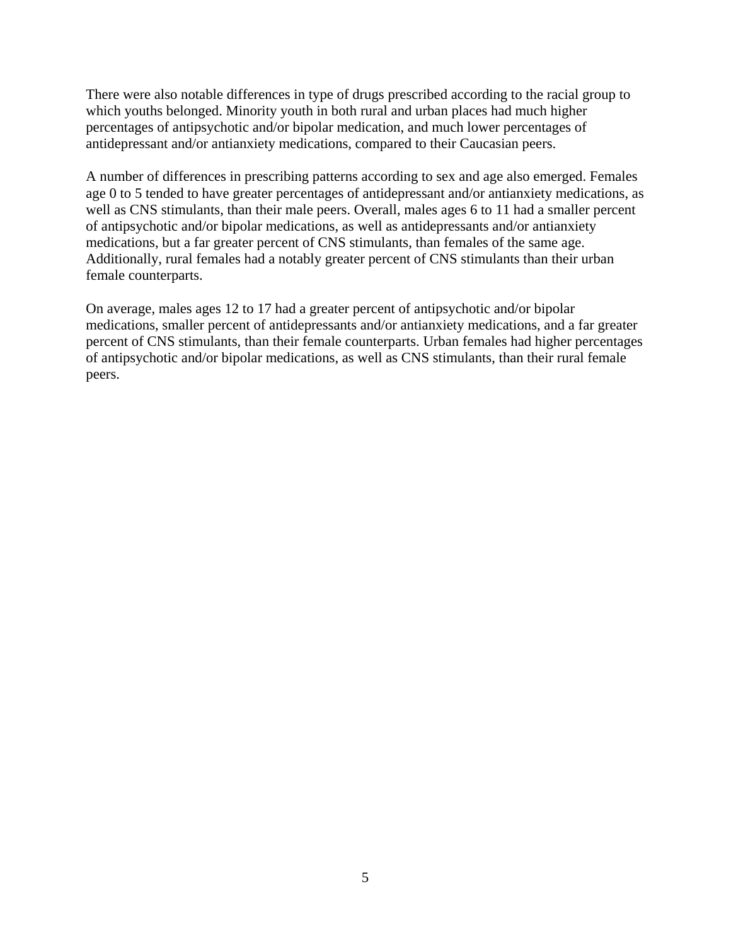There were also notable differences in type of drugs prescribed according to the racial group to which youths belonged. Minority youth in both rural and urban places had much higher percentages of antipsychotic and/or bipolar medication, and much lower percentages of antidepressant and/or antianxiety medications, compared to their Caucasian peers.

A number of differences in prescribing patterns according to sex and age also emerged. Females age 0 to 5 tended to have greater percentages of antidepressant and/or antianxiety medications, as well as CNS stimulants, than their male peers. Overall, males ages 6 to 11 had a smaller percent of antipsychotic and/or bipolar medications, as well as antidepressants and/or antianxiety medications, but a far greater percent of CNS stimulants, than females of the same age. Additionally, rural females had a notably greater percent of CNS stimulants than their urban female counterparts.

On average, males ages 12 to 17 had a greater percent of antipsychotic and/or bipolar medications, smaller percent of antidepressants and/or antianxiety medications, and a far greater percent of CNS stimulants, than their female counterparts. Urban females had higher percentages of antipsychotic and/or bipolar medications, as well as CNS stimulants, than their rural female peers.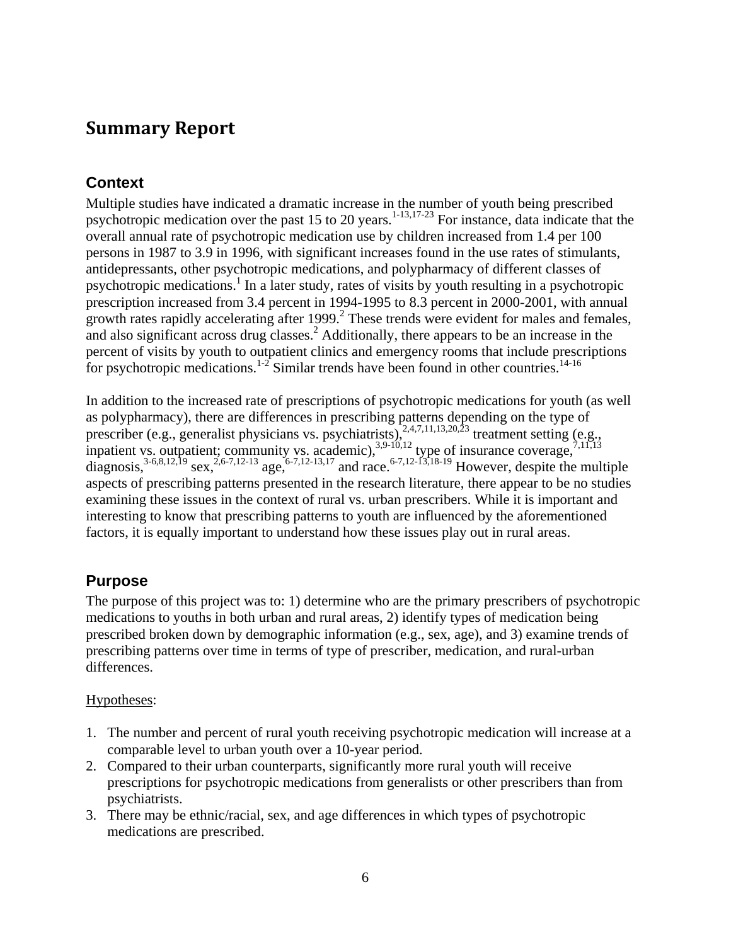## <span id="page-5-0"></span>**Summary Report**

### **Context**

Multiple studies have indicated a dramatic increase in the number of youth being prescribed psychotropic medication over the past 15 to 20 years.<sup>1-13,17-23</sup> For instance, data indicate that the overall annual rate of psychotropic medication use by children increased from 1.4 per 100 persons in 1987 to 3.9 in 1996, with significant increases found in the use rates of stimulants, antidepressants, other psychotropic medications, and polypharmacy of different classes of psychotropic medications.<sup>1</sup> In a later study, rates of visits by youth resulting in a psychotropic prescription increased from 3.4 percent in 1994-1995 to 8.3 percent in 2000-2001, with annual growth rates rapidly accelerating after 1999.<sup>2</sup> These trends were evident for males and females, and also significant across drug classes.<sup>2</sup> Additionally, there appears to be an increase in the percent of visits by youth to outpatient clinics and emergency rooms that include prescriptions for psychotropic medications.<sup>1-2</sup> Similar trends have been found in other countries.<sup>14-16</sup>

In addition to the increased rate of prescriptions of psychotropic medications for youth (as well as polypharmacy), there are differences in prescribing patterns depending on the type of prescriber (e.g., generalist physicians vs. psychiatrists), $^{2,4,7,11,13,20,23}$  treatment setting (e.g., inpatient vs. outpatient; community vs. academic),  $3,9-10,12$  type of insurance coverage,  $7,11,13$ diagnosis,<sup>3-6,8,12,19</sup> sex,<sup>2,6-7,12-13</sup> age,<sup>6-7,12-13,17</sup> and race.<sup>6-7,12-13,18-19</sup> However, despite the multiple aspects of prescribing patterns presented in the research literature, there appear to be no studies examining these issues in the context of rural vs. urban prescribers. While it is important and interesting to know that prescribing patterns to youth are influenced by the aforementioned factors, it is equally important to understand how these issues play out in rural areas.

### **Purpose**

The purpose of this project was to: 1) determine who are the primary prescribers of psychotropic medications to youths in both urban and rural areas, 2) identify types of medication being prescribed broken down by demographic information (e.g., sex, age), and 3) examine trends of prescribing patterns over time in terms of type of prescriber, medication, and rural-urban differences.

#### Hypotheses:

- 1. The number and percent of rural youth receiving psychotropic medication will increase at a comparable level to urban youth over a 10-year period.
- 2. Compared to their urban counterparts, significantly more rural youth will receive prescriptions for psychotropic medications from generalists or other prescribers than from psychiatrists.
- 3. There may be ethnic/racial, sex, and age differences in which types of psychotropic medications are prescribed.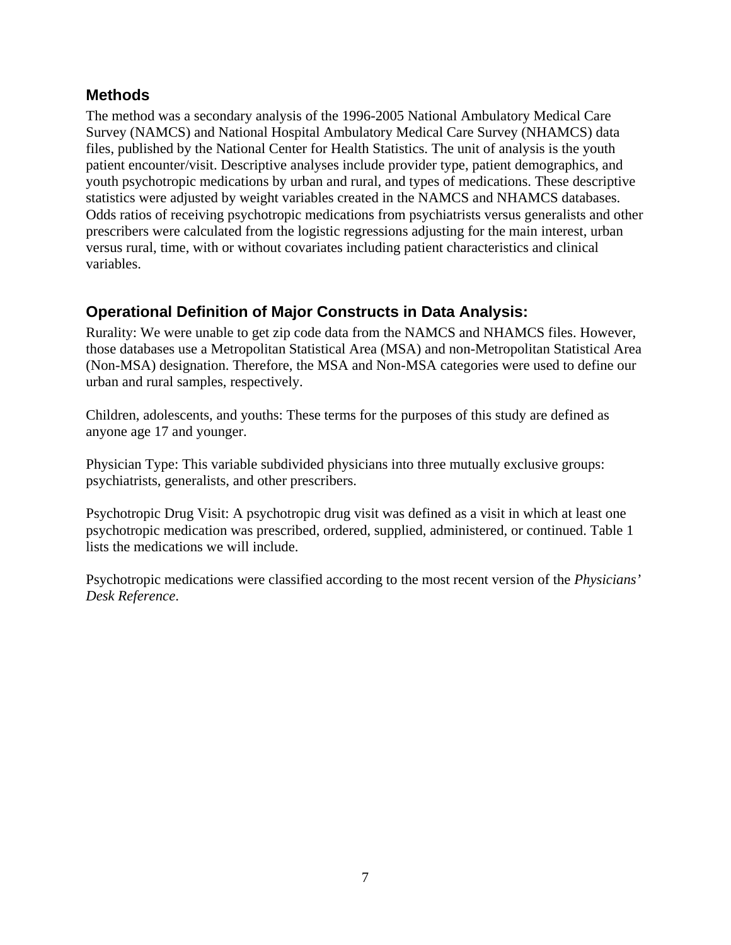#### <span id="page-6-0"></span>**Methods**

The method was a secondary analysis of the 1996-2005 National Ambulatory Medical Care Survey (NAMCS) and National Hospital Ambulatory Medical Care Survey (NHAMCS) data files, published by the National Center for Health Statistics. The unit of analysis is the youth patient encounter/visit. Descriptive analyses include provider type, patient demographics, and youth psychotropic medications by urban and rural, and types of medications. These descriptive statistics were adjusted by weight variables created in the NAMCS and NHAMCS databases. Odds ratios of receiving psychotropic medications from psychiatrists versus generalists and other prescribers were calculated from the logistic regressions adjusting for the main interest, urban versus rural, time, with or without covariates including patient characteristics and clinical variables.

### **Operational Definition of Major Constructs in Data Analysis:**

Rurality: We were unable to get zip code data from the NAMCS and NHAMCS files. However, those databases use a Metropolitan Statistical Area (MSA) and non-Metropolitan Statistical Area (Non-MSA) designation. Therefore, the MSA and Non-MSA categories were used to define our urban and rural samples, respectively.

Children, adolescents, and youths: These terms for the purposes of this study are defined as anyone age 17 and younger.

Physician Type: This variable subdivided physicians into three mutually exclusive groups: psychiatrists, generalists, and other prescribers.

Psychotropic Drug Visit: A psychotropic drug visit was defined as a visit in which at least one psychotropic medication was prescribed, ordered, supplied, administered, or continued. Table 1 lists the medications we will include.

Psychotropic medications were classified according to the most recent version of the *Physicians' Desk Reference*.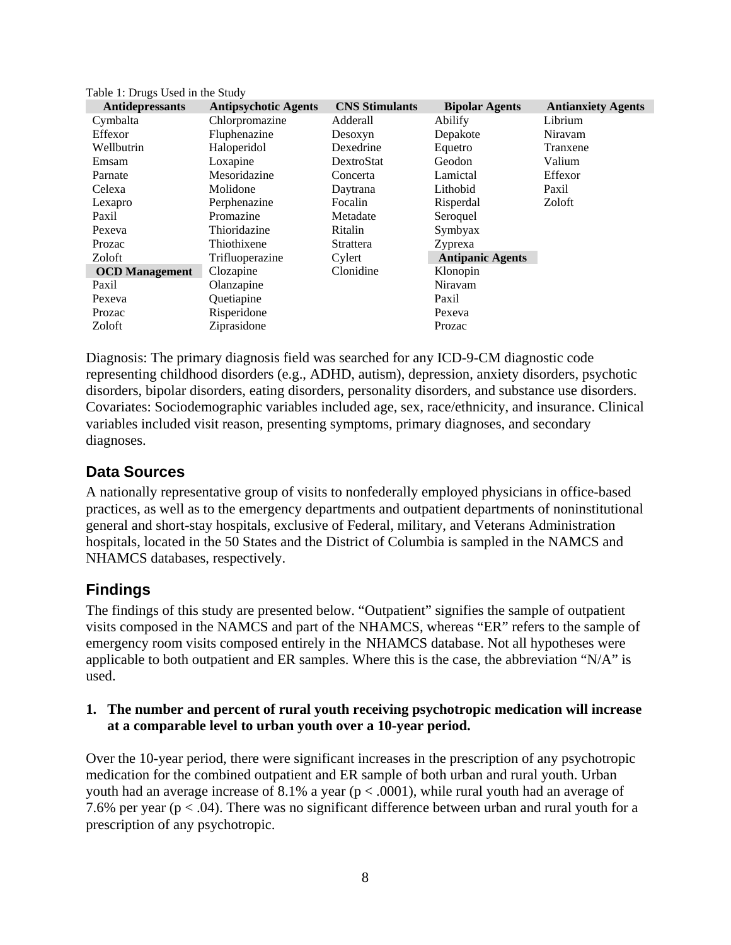| <b>Antidepressants</b> | <b>Antipsychotic Agents</b> | <b>CNS Stimulants</b> | <b>Bipolar Agents</b>   | <b>Antianxiety Agents</b> |
|------------------------|-----------------------------|-----------------------|-------------------------|---------------------------|
| Cymbalta               | Chlorpromazine              | Adderall              | Abilify                 | Librium                   |
| Effexor                | Fluphenazine                | Desoxyn               | Depakote                | Niravam                   |
| Wellbutrin             | Haloperidol                 | Dexedrine             | Equetro                 | Tranxene                  |
| Emsam                  | Loxapine                    | DextroStat            | Geodon                  | Valium                    |
| Parnate                | Mesoridazine                | Concerta              | Lamictal                | Effexor                   |
| Celexa                 | Molidone                    | Daytrana              | Lithobid                | Paxil                     |
| Lexapro                | Perphenazine                | Focalin               | Risperdal               | Zoloft                    |
| Paxil                  | Promazine                   | Metadate              | Seroquel                |                           |
| Pexeva                 | Thioridazine                | Ritalin               | Symbyax                 |                           |
| Prozac                 | Thiothixene                 | Strattera             | Zyprexa                 |                           |
| Zoloft                 | Trifluoperazine             | Cylert                | <b>Antipanic Agents</b> |                           |
| <b>OCD</b> Management  | Clozapine                   | Clonidine             | Klonopin                |                           |
| Paxil                  | Olanzapine                  |                       | Niravam                 |                           |
| Pexeva                 | Quetiapine                  |                       | Paxil                   |                           |
| Prozac                 | Risperidone                 |                       | Pexeva                  |                           |
| Zoloft                 | Ziprasidone                 |                       | Prozac                  |                           |

Diagnosis: The primary diagnosis field was searched for any ICD-9-CM diagnostic code representing childhood disorders (e.g., ADHD, autism), depression, anxiety disorders, psychotic disorders, bipolar disorders, eating disorders, personality disorders, and substance use disorders. Covariates: Sociodemographic variables included age, sex, race/ethnicity, and insurance. Clinical variables included visit reason, presenting symptoms, primary diagnoses, and secondary diagnoses.

#### **Data Sources**

<span id="page-7-0"></span>Table 1: Drugs Used in the Study

A nationally representative group of visits to nonfederally employed physicians in office-based practices, as well as to the emergency departments and outpatient departments of noninstitutional general and short-stay hospitals, exclusive of Federal, military, and Veterans Administration hospitals, located in the 50 States and the District of Columbia is sampled in the NAMCS and NHAMCS databases, respectively.

## **Findings**

The findings of this study are presented below. "Outpatient" signifies the sample of outpatient visits composed in the NAMCS and part of the NHAMCS, whereas "ER" refers to the sample of emergency room visits composed entirely in the NHAMCS database. Not all hypotheses were applicable to both outpatient and ER samples. Where this is the case, the abbreviation "N/A" is used.

#### **1. The number and percent of rural youth receiving psychotropic medication will increase at a comparable level to urban youth over a 10-year period.**

Over the 10-year period, there were significant increases in the prescription of any psychotropic medication for the combined outpatient and ER sample of both urban and rural youth. Urban youth had an average increase of 8.1% a year ( $p < .0001$ ), while rural youth had an average of 7.6% per year ( $p < .04$ ). There was no significant difference between urban and rural youth for a prescription of any psychotropic.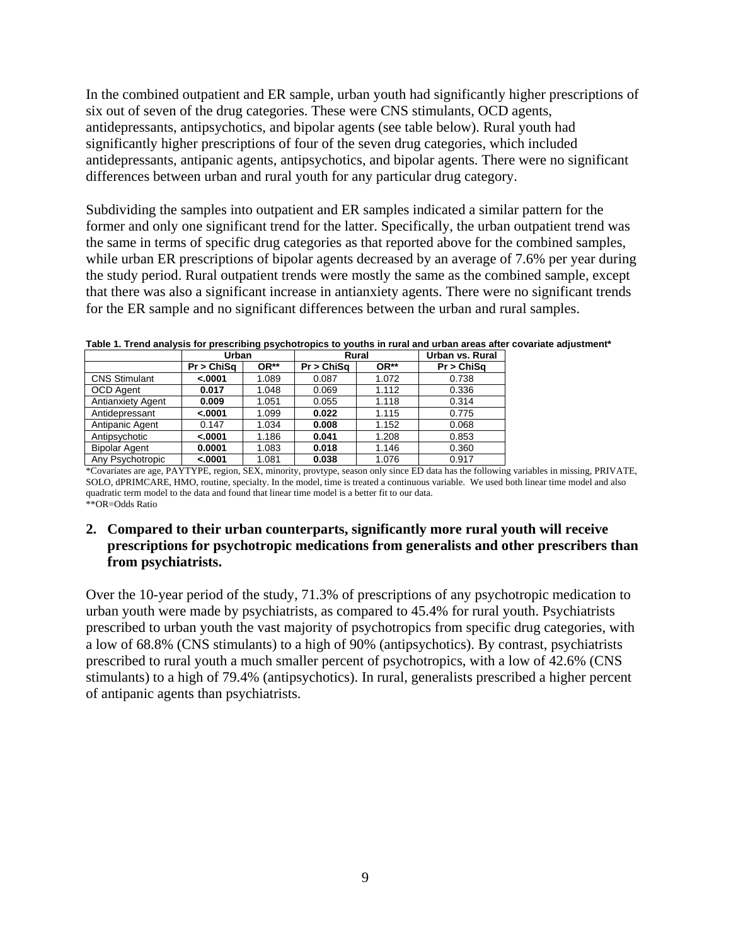In the combined outpatient and ER sample, urban youth had significantly higher prescriptions of six out of seven of the drug categories. These were CNS stimulants, OCD agents, antidepressants, antipsychotics, and bipolar agents (see table below). Rural youth had significantly higher prescriptions of four of the seven drug categories, which included antidepressants, antipanic agents, antipsychotics, and bipolar agents. There were no significant differences between urban and rural youth for any particular drug category.

Subdividing the samples into outpatient and ER samples indicated a similar pattern for the former and only one significant trend for the latter. Specifically, the urban outpatient trend was the same in terms of specific drug categories as that reported above for the combined samples, while urban ER prescriptions of bipolar agents decreased by an average of 7.6% per year during the study period. Rural outpatient trends were mostly the same as the combined sample, except that there was also a significant increase in antianxiety agents. There were no significant trends for the ER sample and no significant differences between the urban and rural samples.

|                      | Urban      |       | <b>Rural</b> |       | Urban vs. Rural |
|----------------------|------------|-------|--------------|-------|-----------------|
|                      | Pr > ChiSa | OR**  | Pr > ChiSa   | OR**  | Pr > ChiSq      |
| <b>CNS Stimulant</b> | < .0001    | 1.089 | 0.087        | 1.072 | 0.738           |
| <b>OCD Agent</b>     | 0.017      | 1.048 | 0.069        | 1.112 | 0.336           |
| Antianxiety Agent    | 0.009      | 1.051 | 0.055        | 1.118 | 0.314           |
| Antidepressant       | < .0001    | 1.099 | 0.022        | 1.115 | 0.775           |
| Antipanic Agent      | 0.147      | 1.034 | 0.008        | 1.152 | 0.068           |
| Antipsychotic        | < .0001    | 1.186 | 0.041        | 1.208 | 0.853           |
| <b>Bipolar Agent</b> | 0.0001     | 1.083 | 0.018        | 1.146 | 0.360           |
| Any Psychotropic     | < .0001    | 1.081 | 0.038        | 1.076 | 0.917           |

**Table 1. Trend analysis for prescribing psychotropics to youths in rural and urban areas after covariate adjustment\***

\*Covariates are age, PAYTYPE, region, SEX, minority, provtype, season only since ED data has the following variables in missing, PRIVATE, SOLO, dPRIMCARE, HMO, routine, specialty. In the model, time is treated a continuous variable. We used both linear time model and also quadratic term model to the data and found that linear time model is a better fit to our data. \*\*OR=Odds Ratio

#### **2. Compared to their urban counterparts, significantly more rural youth will receive prescriptions for psychotropic medications from generalists and other prescribers than from psychiatrists.**

Over the 10-year period of the study, 71.3% of prescriptions of any psychotropic medication to urban youth were made by psychiatrists, as compared to 45.4% for rural youth. Psychiatrists prescribed to urban youth the vast majority of psychotropics from specific drug categories, with a low of 68.8% (CNS stimulants) to a high of 90% (antipsychotics). By contrast, psychiatrists prescribed to rural youth a much smaller percent of psychotropics, with a low of 42.6% (CNS stimulants) to a high of 79.4% (antipsychotics). In rural, generalists prescribed a higher percent of antipanic agents than psychiatrists.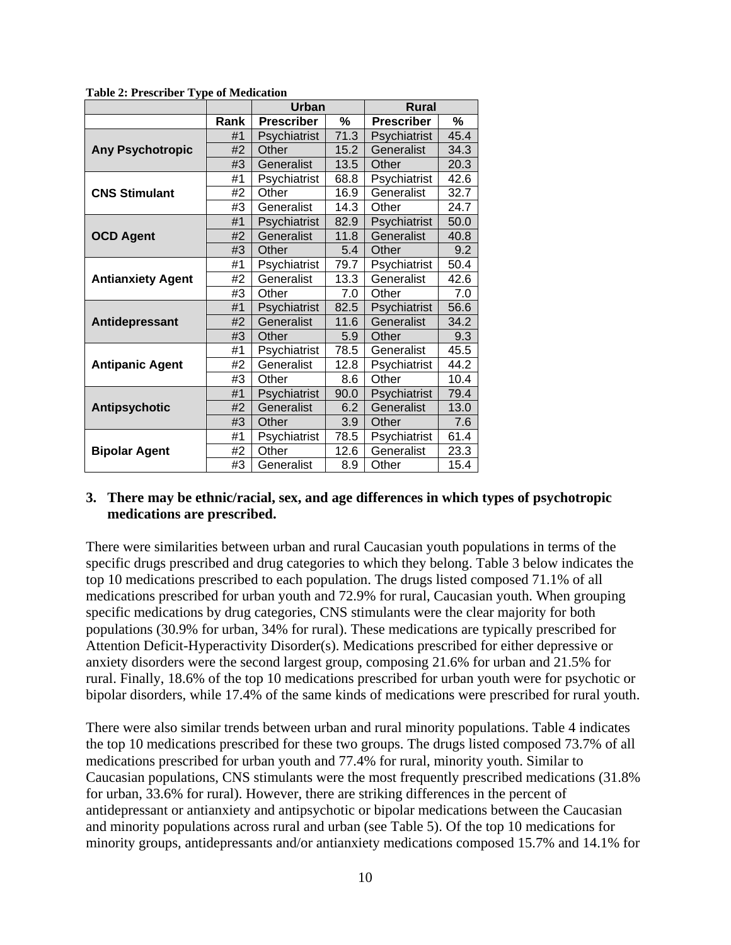|                          |      | <b>Urban</b>      |      | <b>Rural</b>      |      |
|--------------------------|------|-------------------|------|-------------------|------|
|                          | Rank | <b>Prescriber</b> | %    | <b>Prescriber</b> | %    |
|                          | #1   | Psychiatrist      | 71.3 | Psychiatrist      | 45.4 |
| <b>Any Psychotropic</b>  | #2   | Other             | 15.2 | Generalist        | 34.3 |
|                          | #3   | Generalist        | 13.5 | Other             | 20.3 |
|                          | #1   | Psychiatrist      | 68.8 | Psychiatrist      | 42.6 |
| <b>CNS Stimulant</b>     | #2   | Other             | 16.9 | Generalist        | 32.7 |
|                          | #3   | Generalist        | 14.3 | Other             | 24.7 |
|                          | #1   | Psychiatrist      | 82.9 | Psychiatrist      | 50.0 |
| <b>OCD Agent</b>         | #2   | Generalist        | 11.8 | Generalist        | 40.8 |
|                          | #3   | Other             | 5.4  | Other             | 9.2  |
|                          | #1   | Psychiatrist      | 79.7 | Psychiatrist      | 50.4 |
| <b>Antianxiety Agent</b> | #2   | Generalist        | 13.3 | Generalist        | 42.6 |
|                          | #3   | Other             | 7.0  | Other             | 7.0  |
|                          | #1   | Psychiatrist      | 82.5 | Psychiatrist      | 56.6 |
| Antidepressant           | #2   | Generalist        | 11.6 | Generalist        | 34.2 |
|                          | #3   | Other             | 5.9  | Other             | 9.3  |
|                          | #1   | Psychiatrist      | 78.5 | Generalist        | 45.5 |
| <b>Antipanic Agent</b>   | #2   | Generalist        | 12.8 | Psychiatrist      | 44.2 |
|                          | #3   | Other             | 8.6  | Other             | 10.4 |
|                          | #1   | Psychiatrist      | 90.0 | Psychiatrist      | 79.4 |
| <b>Antipsychotic</b>     | #2   | Generalist        | 6.2  | Generalist        | 13.0 |
|                          | #3   | Other             | 3.9  | Other             | 7.6  |
|                          | #1   | Psychiatrist      | 78.5 | Psychiatrist      | 61.4 |
| <b>Bipolar Agent</b>     | #2   | Other             | 12.6 | Generalist        | 23.3 |
|                          | #3   | Generalist        | 8.9  | Other             | 15.4 |

**Table 2: Prescriber Type of Medication** 

#### **3. There may be ethnic/racial, sex, and age differences in which types of psychotropic medications are prescribed.**

There were similarities between urban and rural Caucasian youth populations in terms of the specific drugs prescribed and drug categories to which they belong. Table 3 below indicates the top 10 medications prescribed to each population. The drugs listed composed 71.1% of all medications prescribed for urban youth and 72.9% for rural, Caucasian youth. When grouping specific medications by drug categories, CNS stimulants were the clear majority for both populations (30.9% for urban, 34% for rural). These medications are typically prescribed for Attention Deficit-Hyperactivity Disorder(s). Medications prescribed for either depressive or anxiety disorders were the second largest group, composing 21.6% for urban and 21.5% for rural. Finally, 18.6% of the top 10 medications prescribed for urban youth were for psychotic or bipolar disorders, while 17.4% of the same kinds of medications were prescribed for rural youth.

There were also similar trends between urban and rural minority populations. Table 4 indicates the top 10 medications prescribed for these two groups. The drugs listed composed 73.7% of all medications prescribed for urban youth and 77.4% for rural, minority youth. Similar to Caucasian populations, CNS stimulants were the most frequently prescribed medications (31.8% for urban, 33.6% for rural). However, there are striking differences in the percent of antidepressant or antianxiety and antipsychotic or bipolar medications between the Caucasian and minority populations across rural and urban (see Table 5). Of the top 10 medications for minority groups, antidepressants and/or antianxiety medications composed 15.7% and 14.1% for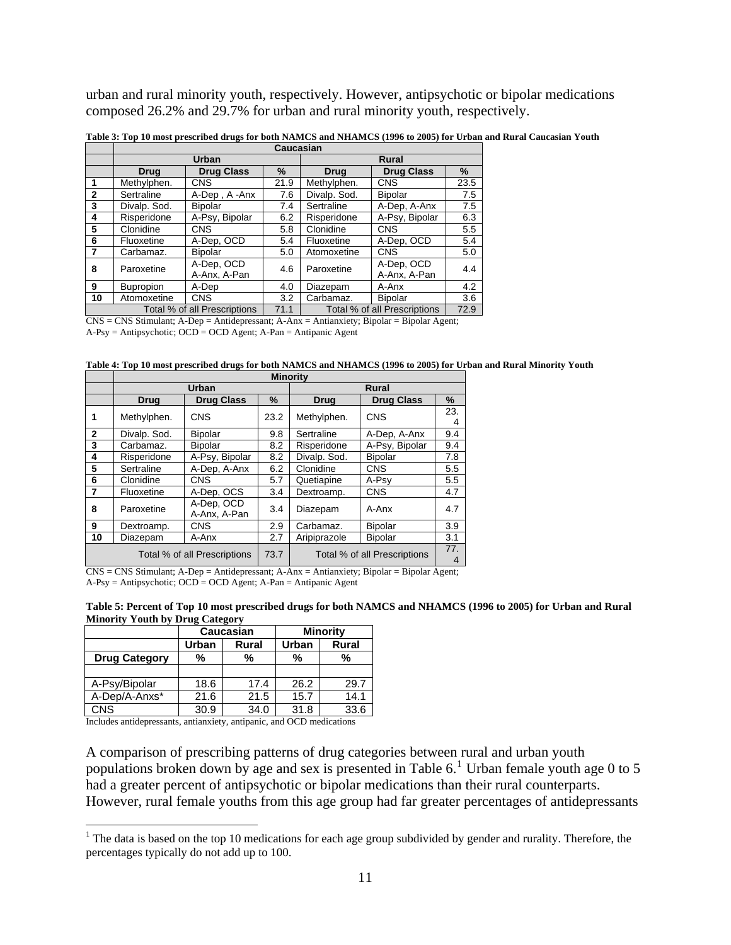urban and rural minority youth, respectively. However, antipsychotic or bipolar medications composed 26.2% and 29.7% for urban and rural minority youth, respectively.

|    | Caucasian        |                              |              |              |                              |      |  |
|----|------------------|------------------------------|--------------|--------------|------------------------------|------|--|
|    |                  | <b>Urban</b>                 | <b>Rural</b> |              |                              |      |  |
|    | <b>Drug</b>      | <b>Drug Class</b>            | %            | <b>Drug</b>  | <b>Drug Class</b>            | $\%$ |  |
| 1  | Methylphen.      | CNS                          | 21.9         | Methylphen.  | <b>CNS</b>                   | 23.5 |  |
| 2  | Sertraline       | A-Dep, A-Anx                 | 7.6          | Divalp. Sod. | <b>Bipolar</b>               | 7.5  |  |
| 3  | Divalp. Sod.     | <b>Bipolar</b>               | 7.4          | Sertraline   | A-Dep, A-Anx                 | 7.5  |  |
| 4  | Risperidone      | A-Psy, Bipolar               | 6.2          | Risperidone  | A-Psy, Bipolar               | 6.3  |  |
| 5  | Clonidine        | <b>CNS</b>                   | 5.8          | Clonidine    | <b>CNS</b>                   | 5.5  |  |
| 6  | Fluoxetine       | A-Dep, OCD                   | 5.4          | Fluoxetine   | A-Dep, OCD                   | 5.4  |  |
| 7  | Carbamaz.        | <b>Bipolar</b>               | 5.0          | Atomoxetine  | <b>CNS</b>                   | 5.0  |  |
| 8  | Paroxetine       | A-Dep, OCD<br>A-Anx, A-Pan   | 4.6          | Paroxetine   | A-Dep, OCD<br>A-Anx, A-Pan   | 4.4  |  |
| 9  | <b>Bupropion</b> | A-Dep                        | 4.0          | Diazepam     | A-Anx                        | 4.2  |  |
| 10 | Atomoxetine      | <b>CNS</b>                   | 3.2          | Carbamaz.    | <b>Bipolar</b>               | 3.6  |  |
|    |                  | Total % of all Prescriptions | 71.1         |              | Total % of all Prescriptions | 72.9 |  |

**Table 3: Top 10 most prescribed drugs for both NAMCS and NHAMCS (1996 to 2005) for Urban and Rural Caucasian Youth**

CNS = CNS Stimulant; A-Dep = Antidepressant; A-Anx = Antianxiety; Bipolar = Bipolar Agent;

A-Psy = Antipsychotic; OCD = OCD Agent; A-Pan = Antipanic Agent

**Table 4: Top 10 most prescribed drugs for both NAMCS and NHAMCS (1996 to 2005) for Urban and Rural Minority Youth**

|                              | <b>Minority</b> |                            |              |                                  |                |          |  |  |
|------------------------------|-----------------|----------------------------|--------------|----------------------------------|----------------|----------|--|--|
|                              |                 | Urban                      | <b>Rural</b> |                                  |                |          |  |  |
|                              | <b>Drug</b>     | <b>Drug Class</b>          | $\%$         | <b>Drug Class</b><br><b>Drug</b> |                | %        |  |  |
| 1                            | Methylphen.     | <b>CNS</b>                 | 23.2         | Methylphen.                      | <b>CNS</b>     | 23.<br>4 |  |  |
| $\mathbf{2}$                 | Divalp. Sod.    | <b>Bipolar</b>             | 9.8          | Sertraline                       | A-Dep, A-Anx   | 9.4      |  |  |
| 3                            | Carbamaz.       | <b>Bipolar</b>             | 8.2          | Risperidone                      | A-Psy, Bipolar | 9.4      |  |  |
| 4                            | Risperidone     | A-Psy, Bipolar             | 8.2          | Divalp. Sod.                     | <b>Bipolar</b> | 7.8      |  |  |
| 5                            | Sertraline      | A-Dep, A-Anx               | 6.2          | Clonidine                        | <b>CNS</b>     | 5.5      |  |  |
| 6                            | Clonidine       | <b>CNS</b>                 | 5.7          | Quetiapine                       | A-Psy          | 5.5      |  |  |
| 7                            | Fluoxetine      | A-Dep, OCS                 | 3.4          | Dextroamp.                       | <b>CNS</b>     | 4.7      |  |  |
| 8                            | Paroxetine      | A-Dep, OCD<br>A-Anx, A-Pan | 3.4          | A-Anx<br>Diazepam                |                | 4.7      |  |  |
| 9                            | Dextroamp.      | <b>CNS</b>                 | 2.9          | Carbamaz.                        | <b>Bipolar</b> | 3.9      |  |  |
| 10                           | Diazepam        | A-Anx                      | 2.7          | Aripiprazole                     | <b>Bipolar</b> | 3.1      |  |  |
| Total % of all Prescriptions |                 |                            | 73.7         | Total % of all Prescriptions     | 77.<br>4       |          |  |  |

CNS = CNS Stimulant; A-Dep = Antidepressant; A-Anx = Antianxiety; Bipolar = Bipolar Agent;  $A-Psy = Antipsychotic$ ;  $OCD = OCD$  Agent;  $A-Pan = Antipanic$  Agent

| Table 5: Percent of Top 10 most prescribed drugs for both NAMCS and NHAMCS (1996 to 2005) for Urban and Rural |  |
|---------------------------------------------------------------------------------------------------------------|--|
| <b>Minority Youth by Drug Category</b>                                                                        |  |

|                      |                | <b>Caucasian</b> | <b>Minority</b> |       |  |
|----------------------|----------------|------------------|-----------------|-------|--|
|                      | Urban<br>Rural |                  | Urban           | Rural |  |
| <b>Drug Category</b> | %              | %                | %               | %     |  |
|                      |                |                  |                 |       |  |
| A-Psy/Bipolar        | 18.6           | 17.4             | 26.2            | 29.7  |  |
| A-Dep/A-Anxs*        | 21.6           | 21.5             | 15.7            | 14.1  |  |
| CNS                  | 30.9           | 34.0             | 31.8            | 33.6  |  |

Includes antidepressants, antianxiety, antipanic, and OCD medications

 $\overline{a}$ 

A comparison of prescribing patterns of drug categories between rural and urban youth populations broken down by age and sex is presented in Table  $6<sup>1</sup>$  $6<sup>1</sup>$  $6<sup>1</sup>$  Urban female youth age 0 to 5 had a greater percent of antipsychotic or bipolar medications than their rural counterparts. However, rural female youths from this age group had far greater percentages of antidepressants

<span id="page-10-0"></span><sup>&</sup>lt;sup>1</sup> The data is based on the top 10 medications for each age group subdivided by gender and rurality. Therefore, the percentages typically do not add up to 100.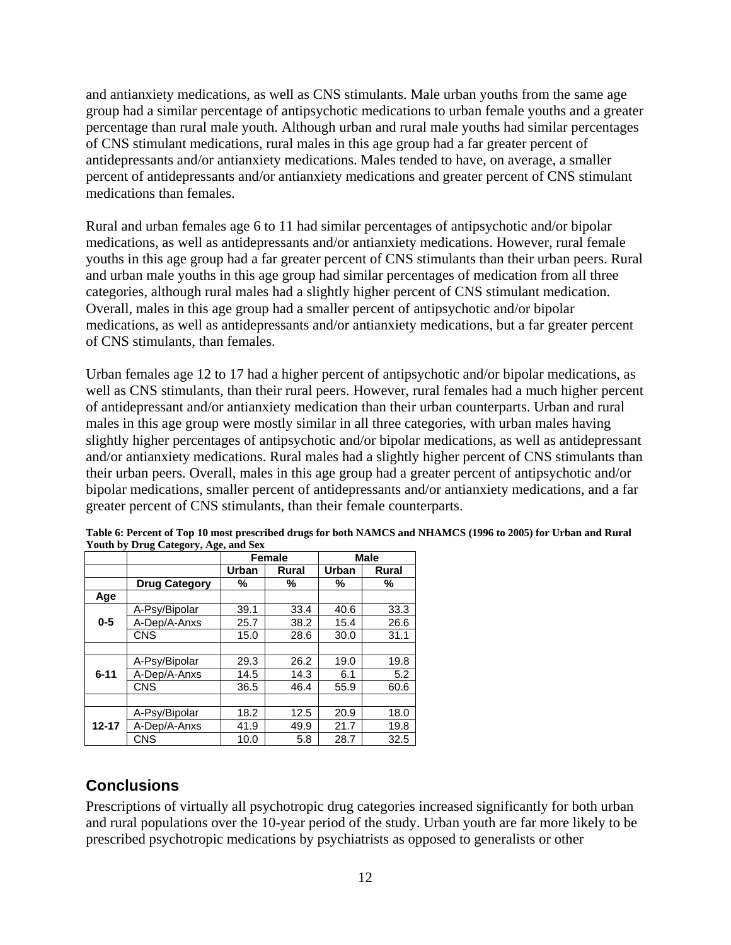<span id="page-11-0"></span>and antianxiety medications, as well as CNS stimulants. Male urban youths from the same age group had a similar percentage of antipsychotic medications to urban female youths and a greater percentage than rural male youth. Although urban and rural male youths had similar percentages of CNS stimulant medications, rural males in this age group had a far greater percent of antidepressants and/or antianxiety medications. Males tended to have, on average, a smaller percent of antidepressants and/or antianxiety medications and greater percent of CNS stimulant medications than females.

Rural and urban females age 6 to 11 had similar percentages of antipsychotic and/or bipolar medications, as well as antidepressants and/or antianxiety medications. However, rural female youths in this age group had a far greater percent of CNS stimulants than their urban peers. Rural and urban male youths in this age group had similar percentages of medication from all three categories, although rural males had a slightly higher percent of CNS stimulant medication. Overall, males in this age group had a smaller percent of antipsychotic and/or bipolar medications, as well as antidepressants and/or antianxiety medications, but a far greater percent of CNS stimulants, than females.

Urban females age 12 to 17 had a higher percent of antipsychotic and/or bipolar medications, as well as CNS stimulants, than their rural peers. However, rural females had a much higher percent of antidepressant and/or antianxiety medication than their urban counterparts. Urban and rural males in this age group were mostly similar in all three categories, with urban males having slightly higher percentages of antipsychotic and/or bipolar medications, as well as antidepressant and/or antianxiety medications. Rural males had a slightly higher percent of CNS stimulants than their urban peers. Overall, males in this age group had a greater percent of antipsychotic and/or bipolar medications, smaller percent of antidepressants and/or antianxiety medications, and a far greater percent of CNS stimulants, than their female counterparts.

|           |                      |       | <b>Female</b> |       | <b>Male</b> |
|-----------|----------------------|-------|---------------|-------|-------------|
|           |                      | Urban | Rural         | Urban | Rural       |
|           | <b>Drug Category</b> | ℅     | %             | %     | %           |
| Age       |                      |       |               |       |             |
|           | A-Psy/Bipolar        | 39.1  | 33.4          | 40.6  | 33.3        |
| $0 - 5$   | A-Dep/A-Anxs         | 25.7  | 38.2          | 15.4  | 26.6        |
|           | <b>CNS</b>           | 15.0  | 28.6          | 30.0  | 31.1        |
|           |                      |       |               |       |             |
|           | A-Psy/Bipolar        | 29.3  | 26.2          | 19.0  | 19.8        |
| $6 - 11$  | A-Dep/A-Anxs         | 14.5  | 14.3          | 6.1   | 5.2         |
|           | <b>CNS</b>           | 36.5  | 46.4          | 55.9  | 60.6        |
|           |                      |       |               |       |             |
|           | A-Psy/Bipolar        | 18.2  | 12.5          | 20.9  | 18.0        |
| $12 - 17$ | A-Dep/A-Anxs         | 41.9  | 49.9          | 21.7  | 19.8        |
|           | CNS                  | 10.0  | 5.8           | 28.7  | 32.5        |

**Table 6: Percent of Top 10 most prescribed drugs for both NAMCS and NHAMCS (1996 to 2005) for Urban and Rural Youth by Drug Category, Age, and Sex** 

### **Conclusions**

Prescriptions of virtually all psychotropic drug categories increased significantly for both urban and rural populations over the 10-year period of the study. Urban youth are far more likely to be prescribed psychotropic medications by psychiatrists as opposed to generalists or other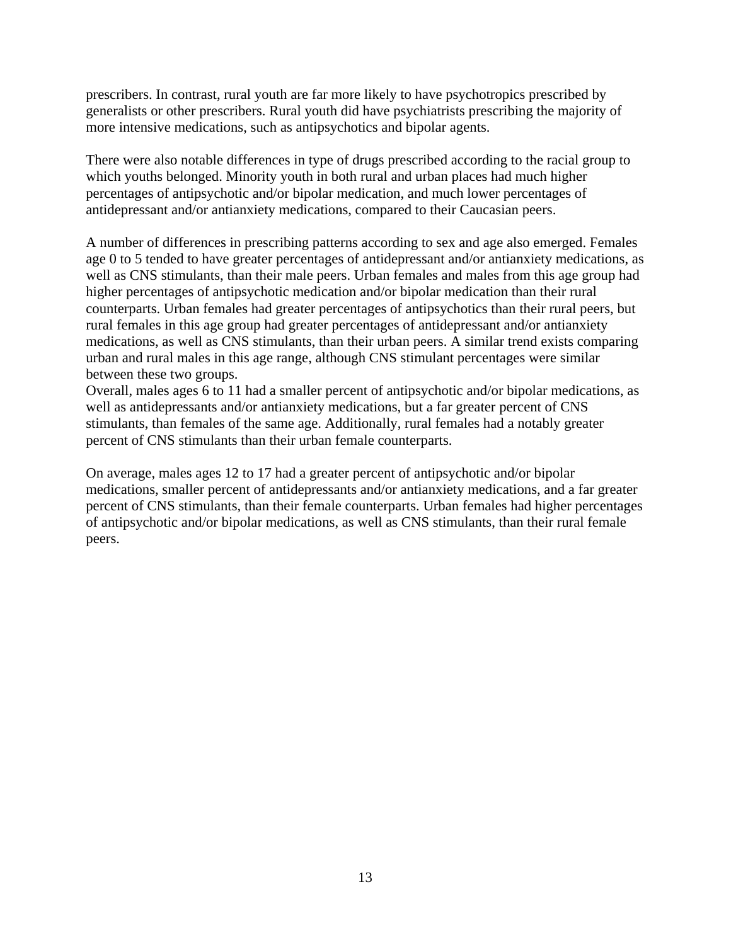prescribers. In contrast, rural youth are far more likely to have psychotropics prescribed by generalists or other prescribers. Rural youth did have psychiatrists prescribing the majority of more intensive medications, such as antipsychotics and bipolar agents.

There were also notable differences in type of drugs prescribed according to the racial group to which youths belonged. Minority youth in both rural and urban places had much higher percentages of antipsychotic and/or bipolar medication, and much lower percentages of antidepressant and/or antianxiety medications, compared to their Caucasian peers.

A number of differences in prescribing patterns according to sex and age also emerged. Females age 0 to 5 tended to have greater percentages of antidepressant and/or antianxiety medications, as well as CNS stimulants, than their male peers. Urban females and males from this age group had higher percentages of antipsychotic medication and/or bipolar medication than their rural counterparts. Urban females had greater percentages of antipsychotics than their rural peers, but rural females in this age group had greater percentages of antidepressant and/or antianxiety medications, as well as CNS stimulants, than their urban peers. A similar trend exists comparing urban and rural males in this age range, although CNS stimulant percentages were similar between these two groups.

Overall, males ages 6 to 11 had a smaller percent of antipsychotic and/or bipolar medications, as well as antidepressants and/or antianxiety medications, but a far greater percent of CNS stimulants, than females of the same age. Additionally, rural females had a notably greater percent of CNS stimulants than their urban female counterparts.

On average, males ages 12 to 17 had a greater percent of antipsychotic and/or bipolar medications, smaller percent of antidepressants and/or antianxiety medications, and a far greater percent of CNS stimulants, than their female counterparts. Urban females had higher percentages of antipsychotic and/or bipolar medications, as well as CNS stimulants, than their rural female peers.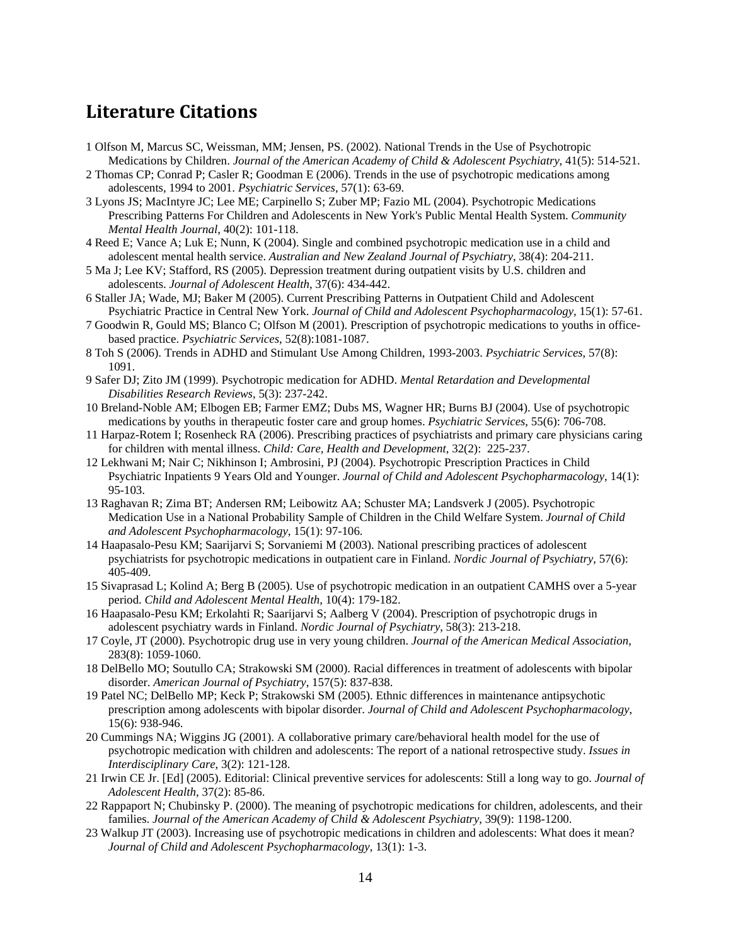## <span id="page-13-0"></span>**Literature Citations**

- 1 Olfson M, Marcus SC, Weissman, MM; Jensen, PS. (2002). National Trends in the Use of Psychotropic Medications by Children. *Journal of the American Academy of Child & Adolescent Psychiatry*, 41(5): 514-521.
- 2 Thomas CP; Conrad P; Casler R; Goodman E (2006). Trends in the use of psychotropic medications among adolescents, 1994 to 2001. *Psychiatric Services*, 57(1): 63-69.
- 3 Lyons JS; MacIntyre JC; Lee ME; Carpinello S; Zuber MP; Fazio ML (2004). Psychotropic Medications Prescribing Patterns For Children and Adolescents in New York's Public Mental Health System. *Community Mental Health Journal*, 40(2): 101-118.
- 4 Reed E; Vance A; Luk E; Nunn, K (2004). Single and combined psychotropic medication use in a child and adolescent mental health service. *Australian and New Zealand Journal of Psychiatry*, 38(4): 204-211.
- 5 Ma J; Lee KV; Stafford, RS (2005). Depression treatment during outpatient visits by U.S. children and adolescents. *Journal of Adolescent Health*, 37(6): 434-442.
- 6 Staller JA; Wade, MJ; Baker M (2005). Current Prescribing Patterns in Outpatient Child and Adolescent Psychiatric Practice in Central New York. *Journal of Child and Adolescent Psychopharmacology*, 15(1): 57-61.
- 7 Goodwin R, Gould MS; Blanco C; Olfson M (2001). Prescription of psychotropic medications to youths in officebased practice. *Psychiatric Services*, 52(8):1081-1087.
- 8 Toh S (2006). Trends in ADHD and Stimulant Use Among Children, 1993-2003. *Psychiatric Services*, 57(8): 1091.
- 9 Safer DJ; Zito JM (1999). Psychotropic medication for ADHD. *Mental Retardation and Developmental Disabilities Research Reviews*, 5(3): 237-242.
- 10 Breland-Noble AM; Elbogen EB; Farmer EMZ; Dubs MS, Wagner HR; Burns BJ (2004). Use of psychotropic medications by youths in therapeutic foster care and group homes. *Psychiatric Services*, 55(6): 706-708.
- 11 Harpaz-Rotem I; Rosenheck RA (2006). Prescribing practices of psychiatrists and primary care physicians caring for children with mental illness. *Child: Care, Health and Development*, 32(2): 225-237.
- 12 Lekhwani M; Nair C; Nikhinson I; Ambrosini, PJ (2004). Psychotropic Prescription Practices in Child Psychiatric Inpatients 9 Years Old and Younger. *Journal of Child and Adolescent Psychopharmacology*, 14(1): 95-103.
- 13 Raghavan R; Zima BT; Andersen RM; Leibowitz AA; Schuster MA; Landsverk J (2005). Psychotropic Medication Use in a National Probability Sample of Children in the Child Welfare System. *Journal of Child and Adolescent Psychopharmacology*, 15(1): 97-106.
- 14 Haapasalo-Pesu KM; Saarijarvi S; Sorvaniemi M (2003). National prescribing practices of adolescent psychiatrists for psychotropic medications in outpatient care in Finland. *Nordic Journal of Psychiatry*, 57(6): 405-409.
- 15 Sivaprasad L; Kolind A; Berg B (2005). Use of psychotropic medication in an outpatient CAMHS over a 5-year period. *Child and Adolescent Mental Health*, 10(4): 179-182.
- 16 Haapasalo-Pesu KM; Erkolahti R; Saarijarvi S; Aalberg V (2004). Prescription of psychotropic drugs in adolescent psychiatry wards in Finland. *Nordic Journal of Psychiatry*, 58(3): 213-218.
- 17 Coyle, JT (2000). Psychotropic drug use in very young children. *Journal of the American Medical Association*, 283(8): 1059-1060.
- 18 DelBello MO; Soutullo CA; Strakowski SM (2000). Racial differences in treatment of adolescents with bipolar disorder. *American Journal of Psychiatry*, 157(5): 837-838.
- 19 Patel NC; DelBello MP; Keck P; Strakowski SM (2005). Ethnic differences in maintenance antipsychotic prescription among adolescents with bipolar disorder. *Journal of Child and Adolescent Psychopharmacology*, 15(6): 938-946.
- 20 Cummings NA; Wiggins JG (2001). A collaborative primary care/behavioral health model for the use of psychotropic medication with children and adolescents: The report of a national retrospective study. *Issues in Interdisciplinary Care*, 3(2): 121-128.
- 21 Irwin CE Jr. [Ed] (2005). Editorial: Clinical preventive services for adolescents: Still a long way to go. *Journal of Adolescent Health*, 37(2): 85-86.
- 22 Rappaport N; Chubinsky P. (2000). The meaning of psychotropic medications for children, adolescents, and their families. *Journal of the American Academy of Child & Adolescent Psychiatry*, 39(9): 1198-1200.
- 23 Walkup JT (2003). Increasing use of psychotropic medications in children and adolescents: What does it mean? *Journal of Child and Adolescent Psychopharmacology*, 13(1): 1-3.